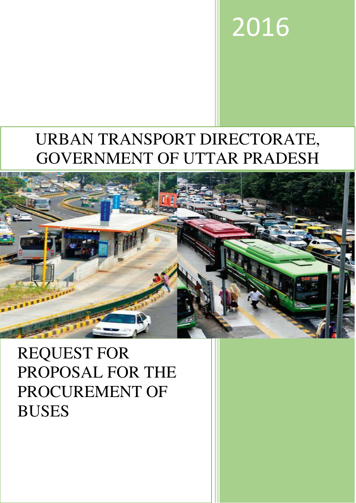# 2016

## URBAN TRANSPORT DIRECTORATE, GOVERNMENT OF UTTAR PRADESH



REQUEST FOR PROPOSAL FOR THE PROCUREMENT OF BUSES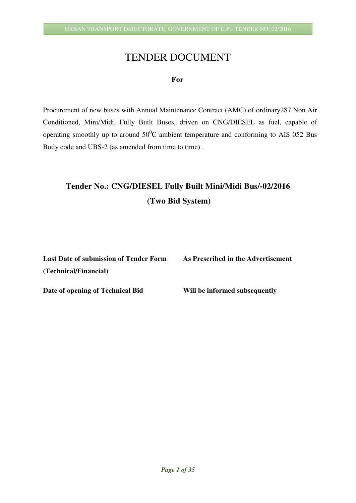## TENDER DOCUMENT

#### **For**

Procurement of new buses with Annual Maintenance Contract (AMC) of ordinary287 Non Air Conditioned, Mini/Midi, Fully Built Buses, driven on CNG/DIESEL as fuel, capable of operating smoothly up to around  $50^0C$  ambient temperature and conforming to AIS 052 Bus Body code and UBS-2 (as amended from time to time).

## **Tender No.: CNG/DIESEL Fully Built Mini/Midi Bus/-02/2016 (Two Bid System)**

| <b>Last Date of submission of Tender Form</b> | As Prescribed in the Advertisement |
|-----------------------------------------------|------------------------------------|
| (Technical/Financial)                         |                                    |
| Date of opening of Technical Bid              | Will be informed subsequently      |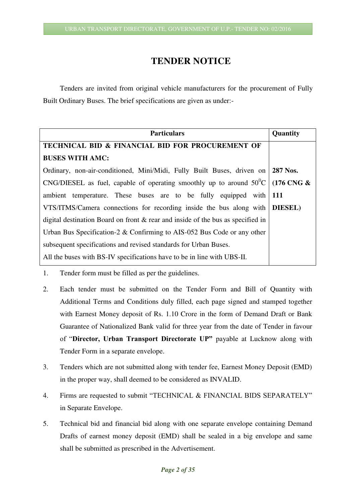## **TENDER NOTICE**

 Tenders are invited from original vehicle manufacturers for the procurement of Fully Built Ordinary Buses. The brief specifications are given as under:-

| <b>Particulars</b>                                                                         | Quantity |
|--------------------------------------------------------------------------------------------|----------|
| TECHNICAL BID & FINANCIAL BID FOR PROCUREMENT OF                                           |          |
| <b>BUSES WITH AMC:</b>                                                                     |          |
| Ordinary, non-air-conditioned, Mini/Midi, Fully Built Buses, driven on 287 Nos.            |          |
| CNG/DIESEL as fuel, capable of operating smoothly up to around $50^{\circ}$ C   (176 CNG & |          |
| ambient temperature. These buses are to be fully equipped with 111                         |          |
| VTS/ITMS/Camera connections for recording inside the bus along with DIESEL)                |          |
| digital destination Board on front $\&$ rear and inside of the bus as specified in         |          |
| Urban Bus Specification-2 & Confirming to AIS-052 Bus Code or any other                    |          |
| subsequent specifications and revised standards for Urban Buses.                           |          |
| All the buses with BS-IV specifications have to be in line with UBS-II.                    |          |

- 1. Tender form must be filled as per the guidelines.
- 2. Each tender must be submitted on the Tender Form and Bill of Quantity with Additional Terms and Conditions duly filled, each page signed and stamped together with Earnest Money deposit of Rs. 1.10 Crore in the form of Demand Draft or Bank Guarantee of Nationalized Bank valid for three year from the date of Tender in favour of "**Director, Urban Transport Directorate UP"** payable at Lucknow along with Tender Form in a separate envelope.
- 3. Tenders which are not submitted along with tender fee, Earnest Money Deposit (EMD) in the proper way, shall deemed to be considered as INVALID.
- 4. Firms are requested to submit "TECHNICAL & FINANCIAL BIDS SEPARATELY" in Separate Envelope.
- 5. Technical bid and financial bid along with one separate envelope containing Demand Drafts of earnest money deposit (EMD) shall be sealed in a big envelope and same shall be submitted as prescribed in the Advertisement.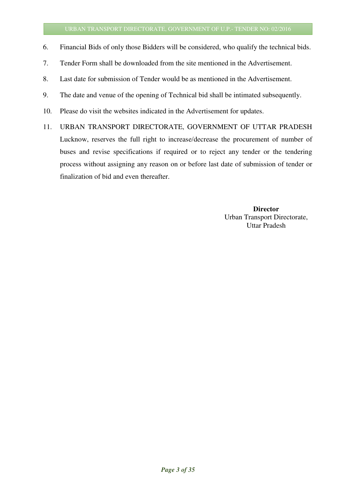- 6. Financial Bids of only those Bidders will be considered, who qualify the technical bids.
- 7. Tender Form shall be downloaded from the site mentioned in the Advertisement.
- 8. Last date for submission of Tender would be as mentioned in the Advertisement.
- 9. The date and venue of the opening of Technical bid shall be intimated subsequently.
- 10. Please do visit the websites indicated in the Advertisement for updates.
- 11. URBAN TRANSPORT DIRECTORATE, GOVERNMENT OF UTTAR PRADESH Lucknow, reserves the full right to increase/decrease the procurement of number of buses and revise specifications if required or to reject any tender or the tendering process without assigning any reason on or before last date of submission of tender or finalization of bid and even thereafter.

**Director**  Urban Transport Directorate, Uttar Pradesh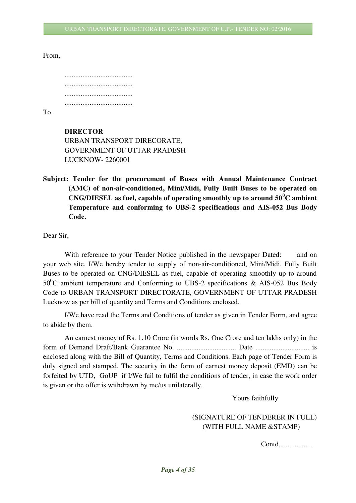#### From,

| $\mathbf{T}_{\boldsymbol{\cap}}$ |  |
|----------------------------------|--|

To,

#### **DIRECTOR**

URBAN TRANSPORT DIRECORATE, GOVERNMENT OF UTTAR PRADESH LUCKNOW- 2260001

**Subject: Tender for the procurement of Buses with Annual Maintenance Contract (AMC) of non-air-conditioned, Mini/Midi, Fully Built Buses to be operated on CNG/DIESEL as fuel, capable of operating smoothly up to around 50<sup>0</sup>C ambient Temperature and conforming to UBS-2 specifications and AIS-052 Bus Body Code.** 

Dear Sir,

With reference to your Tender Notice published in the newspaper Dated: and on your web site, I/We hereby tender to supply of non-air-conditioned, Mini/Midi, Fully Built Buses to be operated on CNG/DIESEL as fuel, capable of operating smoothly up to around  $50^0$ C ambient temperature and Conforming to UBS-2 specifications & AIS-052 Bus Body Code to URBAN TRANSPORT DIRECTORATE, GOVERNMENT OF UTTAR PRADESH Lucknow as per bill of quantity and Terms and Conditions enclosed.

I/We have read the Terms and Conditions of tender as given in Tender Form, and agree to abide by them.

An earnest money of Rs. 1.10 Crore (in words Rs. One Crore and ten lakhs only) in the form of Demand Draft/Bank Guarantee No. ................................. Date .............................. is enclosed along with the Bill of Quantity, Terms and Conditions. Each page of Tender Form is duly signed and stamped. The security in the form of earnest money deposit (EMD) can be forfeited by UTD, GoUP if I/We fail to fulfil the conditions of tender, in case the work order is given or the offer is withdrawn by me/us unilaterally.

Yours faithfully

#### (SIGNATURE OF TENDERER IN FULL) (WITH FULL NAME &STAMP)

Contd...................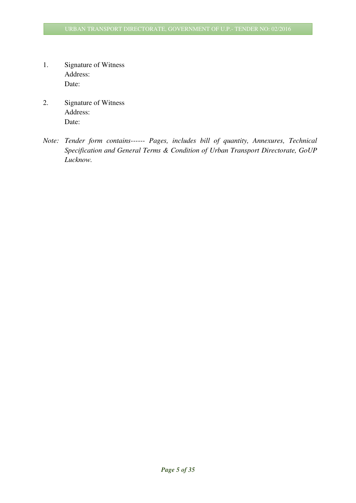- 1. Signature of Witness Address: Date:
- 2. Signature of Witness Address: Date:
- *Note: Tender form contains------ Pages, includes bill of quantity, Annexures, Technical Specification and General Terms & Condition of Urban Transport Directorate, GoUP Lucknow.*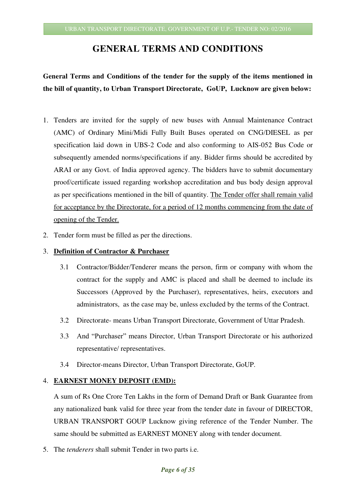### **GENERAL TERMS AND CONDITIONS**

## **General Terms and Conditions of the tender for the supply of the items mentioned in the bill of quantity, to Urban Transport Directorate, GoUP, Lucknow are given below:**

- 1. Tenders are invited for the supply of new buses with Annual Maintenance Contract (AMC) of Ordinary Mini/Midi Fully Built Buses operated on CNG/DIESEL as per specification laid down in UBS-2 Code and also conforming to AIS-052 Bus Code or subsequently amended norms/specifications if any. Bidder firms should be accredited by ARAI or any Govt. of India approved agency. The bidders have to submit documentary proof/certificate issued regarding workshop accreditation and bus body design approval as per specifications mentioned in the bill of quantity. The Tender offer shall remain valid for acceptance by the Directorate, for a period of 12 months commencing from the date of opening of the Tender.
- 2. Tender form must be filled as per the directions.

#### 3. **Definition of Contractor & Purchaser**

- 3.1 Contractor/Bidder/Tenderer means the person, firm or company with whom the contract for the supply and AMC is placed and shall be deemed to include its Successors (Approved by the Purchaser), representatives, heirs, executors and administrators, as the case may be, unless excluded by the terms of the Contract.
- 3.2 Directorate- means Urban Transport Directorate, Government of Uttar Pradesh.
- 3.3 And "Purchaser" means Director, Urban Transport Directorate or his authorized representative/ representatives.
- 3.4 Director-means Director, Urban Transport Directorate, GoUP.

#### 4. **EARNEST MONEY DEPOSIT (EMD):**

A sum of Rs One Crore Ten Lakhs in the form of Demand Draft or Bank Guarantee from any nationalized bank valid for three year from the tender date in favour of DIRECTOR, URBAN TRANSPORT GOUP Lucknow giving reference of the Tender Number. The same should be submitted as EARNEST MONEY along with tender document.

5. The *tenderers* shall submit Tender in two parts i.e.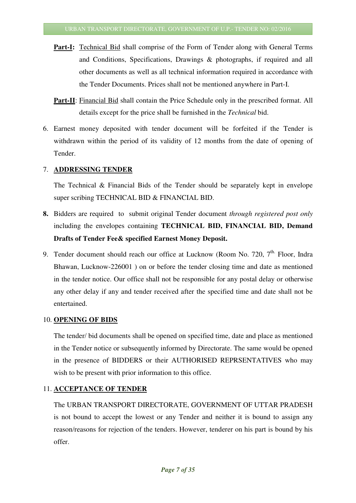- **Part-I:** Technical Bid shall comprise of the Form of Tender along with General Terms and Conditions, Specifications, Drawings & photographs, if required and all other documents as well as all technical information required in accordance with the Tender Documents. Prices shall not be mentioned anywhere in Part-I.
- **Part-II**: Financial Bid shall contain the Price Schedule only in the prescribed format. All details except for the price shall be furnished in the *Technical* bid.
- 6. Earnest money deposited with tender document will be forfeited if the Tender is withdrawn within the period of its validity of 12 months from the date of opening of Tender.

#### 7. **ADDRESSING TENDER**

The Technical & Financial Bids of the Tender should be separately kept in envelope super scribing TECHNICAL BID & FINANCIAL BID.

- **8.** Bidders are required to submit original Tender document *through registered post only*  including the envelopes containing **TECHNICAL BID, FINANCIAL BID, Demand Drafts of Tender Fee& specified Earnest Money Deposit.**
- 9. Tender document should reach our office at Lucknow (Room No. 720,  $7<sup>th</sup>$  Floor, Indra Bhawan, Lucknow-226001 ) on or before the tender closing time and date as mentioned in the tender notice. Our office shall not be responsible for any postal delay or otherwise any other delay if any and tender received after the specified time and date shall not be entertained.

#### 10. **OPENING OF BIDS**

The tender/ bid documents shall be opened on specified time, date and place as mentioned in the Tender notice or subsequently informed by Directorate. The same would be opened in the presence of BIDDERS or their AUTHORISED REPRSENTATIVES who may wish to be present with prior information to this office.

#### 11. **ACCEPTANCE OF TENDER**

The URBAN TRANSPORT DIRECTORATE, GOVERNMENT OF UTTAR PRADESH is not bound to accept the lowest or any Tender and neither it is bound to assign any reason/reasons for rejection of the tenders. However, tenderer on his part is bound by his offer.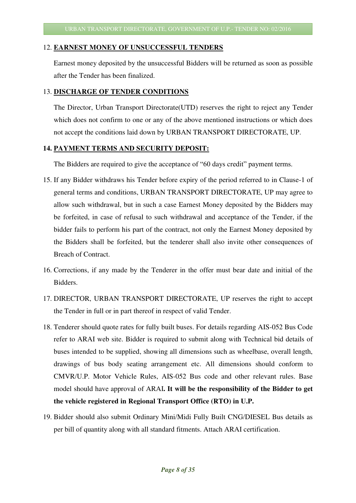#### 12. **EARNEST MONEY OF UNSUCCESSFUL TENDERS**

Earnest money deposited by the unsuccessful Bidders will be returned as soon as possible after the Tender has been finalized.

#### 13. **DISCHARGE OF TENDER CONDITIONS**

The Director, Urban Transport Directorate(UTD) reserves the right to reject any Tender which does not confirm to one or any of the above mentioned instructions or which does not accept the conditions laid down by URBAN TRANSPORT DIRECTORATE, UP.

#### **14. PAYMENT TERMS AND SECURITY DEPOSIT:**

The Bidders are required to give the acceptance of "60 days credit" payment terms.

- 15. If any Bidder withdraws his Tender before expiry of the period referred to in Clause-1 of general terms and conditions, URBAN TRANSPORT DIRECTORATE, UP may agree to allow such withdrawal, but in such a case Earnest Money deposited by the Bidders may be forfeited, in case of refusal to such withdrawal and acceptance of the Tender, if the bidder fails to perform his part of the contract, not only the Earnest Money deposited by the Bidders shall be forfeited, but the tenderer shall also invite other consequences of Breach of Contract.
- 16. Corrections, if any made by the Tenderer in the offer must bear date and initial of the Bidders.
- 17. DIRECTOR, URBAN TRANSPORT DIRECTORATE, UP reserves the right to accept the Tender in full or in part thereof in respect of valid Tender.
- 18. Tenderer should quote rates for fully built buses. For details regarding AIS-052 Bus Code refer to ARAI web site. Bidder is required to submit along with Technical bid details of buses intended to be supplied, showing all dimensions such as wheelbase, overall length, drawings of bus body seating arrangement etc. All dimensions should conform to CMVR/U.P. Motor Vehicle Rules, AIS-052 Bus code and other relevant rules. Base model should have approval of ARAI**. It will be the responsibility of the Bidder to get the vehicle registered in Regional Transport Office (RTO) in U.P.**
- 19. Bidder should also submit Ordinary Mini/Midi Fully Built CNG/DIESEL Bus details as per bill of quantity along with all standard fitments. Attach ARAI certification.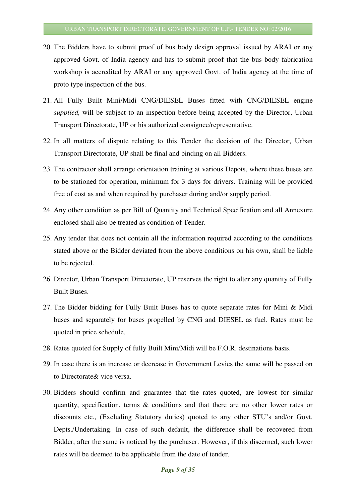- 20. The Bidders have to submit proof of bus body design approval issued by ARAI or any approved Govt. of India agency and has to submit proof that the bus body fabrication workshop is accredited by ARAI or any approved Govt. of India agency at the time of proto type inspection of the bus.
- 21. All Fully Built Mini/Midi CNG/DIESEL Buses fitted with CNG/DIESEL engine *supplied,* will be subject to an inspection before being accepted by the Director, Urban Transport Directorate, UP or his authorized consignee/representative.
- 22. In all matters of dispute relating to this Tender the decision of the Director, Urban Transport Directorate, UP shall be final and binding on all Bidders.
- 23. The contractor shall arrange orientation training at various Depots, where these buses are to be stationed for operation, minimum for 3 days for drivers. Training will be provided free of cost as and when required by purchaser during and/or supply period.
- 24. Any other condition as per Bill of Quantity and Technical Specification and all Annexure enclosed shall also be treated as condition of Tender.
- 25. Any tender that does not contain all the information required according to the conditions stated above or the Bidder deviated from the above conditions on his own, shall be liable to be rejected.
- 26. Director, Urban Transport Directorate, UP reserves the right to alter any quantity of Fully Built Buses.
- 27. The Bidder bidding for Fully Built Buses has to quote separate rates for Mini & Midi buses and separately for buses propelled by CNG and DIESEL as fuel. Rates must be quoted in price schedule.
- 28. Rates quoted for Supply of fully Built Mini/Midi will be F.O.R. destinations basis.
- 29. In case there is an increase or decrease in Government Levies the same will be passed on to Directorate& vice versa.
- 30. Bidders should confirm and guarantee that the rates quoted, are lowest for similar quantity, specification, terms & conditions and that there are no other lower rates or discounts etc., (Excluding Statutory duties) quoted to any other STU's and/or Govt. Depts./Undertaking. In case of such default, the difference shall be recovered from Bidder, after the same is noticed by the purchaser. However, if this discerned, such lower rates will be deemed to be applicable from the date of tender.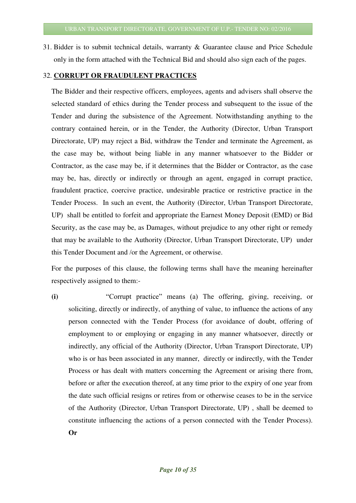31. Bidder is to submit technical details, warranty & Guarantee clause and Price Schedule only in the form attached with the Technical Bid and should also sign each of the pages.

#### 32. **CORRUPT OR FRAUDULENT PRACTICES**

 The Bidder and their respective officers, employees, agents and advisers shall observe the selected standard of ethics during the Tender process and subsequent to the issue of the Tender and during the subsistence of the Agreement. Notwithstanding anything to the contrary contained herein, or in the Tender, the Authority (Director, Urban Transport Directorate, UP) may reject a Bid, withdraw the Tender and terminate the Agreement, as the case may be, without being liable in any manner whatsoever to the Bidder or Contractor, as the case may be, if it determines that the Bidder or Contractor, as the case may be, has, directly or indirectly or through an agent, engaged in corrupt practice, fraudulent practice, coercive practice, undesirable practice or restrictive practice in the Tender Process. In such an event, the Authority (Director, Urban Transport Directorate, UP) shall be entitled to forfeit and appropriate the Earnest Money Deposit (EMD) or Bid Security, as the case may be, as Damages, without prejudice to any other right or remedy that may be available to the Authority (Director, Urban Transport Directorate, UP) under this Tender Document and /or the Agreement, or otherwise.

 For the purposes of this clause, the following terms shall have the meaning hereinafter respectively assigned to them:-

**(i)** "Corrupt practice" means (a) The offering, giving, receiving, or soliciting, directly or indirectly, of anything of value, to influence the actions of any person connected with the Tender Process (for avoidance of doubt, offering of employment to or employing or engaging in any manner whatsoever, directly or indirectly, any official of the Authority (Director, Urban Transport Directorate, UP) who is or has been associated in any manner, directly or indirectly, with the Tender Process or has dealt with matters concerning the Agreement or arising there from, before or after the execution thereof, at any time prior to the expiry of one year from the date such official resigns or retires from or otherwise ceases to be in the service of the Authority (Director, Urban Transport Directorate, UP) , shall be deemed to constitute influencing the actions of a person connected with the Tender Process). **Or**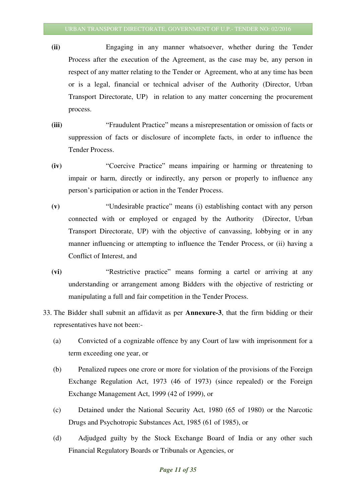- **(ii)** Engaging in any manner whatsoever, whether during the Tender Process after the execution of the Agreement, as the case may be, any person in respect of any matter relating to the Tender or Agreement, who at any time has been or is a legal, financial or technical adviser of the Authority (Director, Urban Transport Directorate, UP) in relation to any matter concerning the procurement process.
- **(iii)** "Fraudulent Practice" means a misrepresentation or omission of facts or suppression of facts or disclosure of incomplete facts, in order to influence the Tender Process.
- **(iv)** "Coercive Practice" means impairing or harming or threatening to impair or harm, directly or indirectly, any person or properly to influence any person's participation or action in the Tender Process.
- **(v)** "Undesirable practice" means (i) establishing contact with any person connected with or employed or engaged by the Authority (Director, Urban Transport Directorate, UP) with the objective of canvassing, lobbying or in any manner influencing or attempting to influence the Tender Process, or (ii) having a Conflict of Interest, and
- **(vi)** "Restrictive practice" means forming a cartel or arriving at any understanding or arrangement among Bidders with the objective of restricting or manipulating a full and fair competition in the Tender Process.
- 33. The Bidder shall submit an affidavit as per **Annexure-3**, that the firm bidding or their representatives have not been:-
	- (a) Convicted of a cognizable offence by any Court of law with imprisonment for a term exceeding one year, or
	- (b) Penalized rupees one crore or more for violation of the provisions of the Foreign Exchange Regulation Act, 1973 (46 of 1973) (since repealed) or the Foreign Exchange Management Act, 1999 (42 of 1999), or
	- (c) Detained under the National Security Act, 1980 (65 of 1980) or the Narcotic Drugs and Psychotropic Substances Act, 1985 (61 of 1985), or
	- (d) Adjudged guilty by the Stock Exchange Board of India or any other such Financial Regulatory Boards or Tribunals or Agencies, or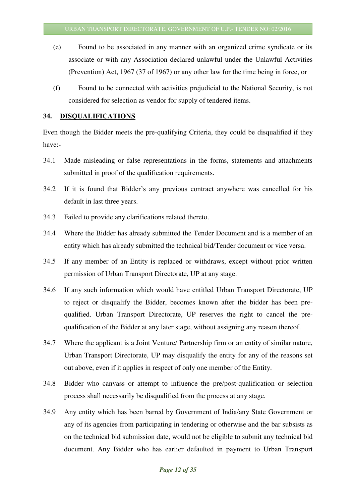- (e) Found to be associated in any manner with an organized crime syndicate or its associate or with any Association declared unlawful under the Unlawful Activities (Prevention) Act, 1967 (37 of 1967) or any other law for the time being in force, or
- (f) Found to be connected with activities prejudicial to the National Security, is not considered for selection as vendor for supply of tendered items.

#### **34. DISQUALIFICATIONS**

Even though the Bidder meets the pre-qualifying Criteria, they could be disqualified if they have:-

- 34.1 Made misleading or false representations in the forms, statements and attachments submitted in proof of the qualification requirements.
- 34.2 If it is found that Bidder's any previous contract anywhere was cancelled for his default in last three years.
- 34.3 Failed to provide any clarifications related thereto.
- 34.4 Where the Bidder has already submitted the Tender Document and is a member of an entity which has already submitted the technical bid/Tender document or vice versa.
- 34.5 If any member of an Entity is replaced or withdraws, except without prior written permission of Urban Transport Directorate, UP at any stage.
- 34.6 If any such information which would have entitled Urban Transport Directorate, UP to reject or disqualify the Bidder, becomes known after the bidder has been prequalified. Urban Transport Directorate, UP reserves the right to cancel the prequalification of the Bidder at any later stage, without assigning any reason thereof.
- 34.7 Where the applicant is a Joint Venture/ Partnership firm or an entity of similar nature, Urban Transport Directorate, UP may disqualify the entity for any of the reasons set out above, even if it applies in respect of only one member of the Entity.
- 34.8 Bidder who canvass or attempt to influence the pre/post-qualification or selection process shall necessarily be disqualified from the process at any stage.
- 34.9 Any entity which has been barred by Government of India/any State Government or any of its agencies from participating in tendering or otherwise and the bar subsists as on the technical bid submission date, would not be eligible to submit any technical bid document. Any Bidder who has earlier defaulted in payment to Urban Transport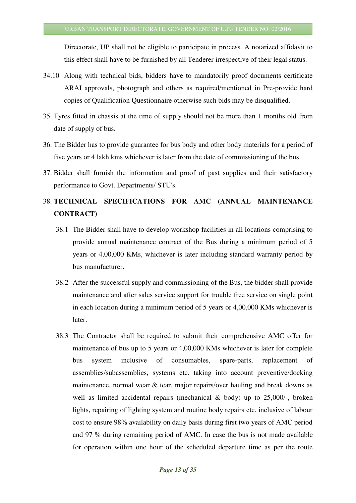Directorate, UP shall not be eligible to participate in process. A notarized affidavit to this effect shall have to be furnished by all Tenderer irrespective of their legal status.

- 34.10 Along with technical bids, bidders have to mandatorily proof documents certificate ARAI approvals, photograph and others as required/mentioned in Pre-provide hard copies of Qualification Questionnaire otherwise such bids may be disqualified.
- 35. Tyres fitted in chassis at the time of supply should not be more than 1 months old from date of supply of bus.
- 36. The Bidder has to provide guarantee for bus body and other body materials for a period of five years or 4 lakh kms whichever is later from the date of commissioning of the bus.
- 37. Bidder shall furnish the information and proof of past supplies and their satisfactory performance to Govt. Departments/ STU's.

## 38. **TECHNICAL SPECIFICATIONS FOR AMC (ANNUAL MAINTENANCE CONTRACT)**

- 38.1 The Bidder shall have to develop workshop facilities in all locations comprising to provide annual maintenance contract of the Bus during a minimum period of 5 years or 4,00,000 KMs, whichever is later including standard warranty period by bus manufacturer.
- 38.2 After the successful supply and commissioning of the Bus, the bidder shall provide maintenance and after sales service support for trouble free service on single point in each location during a minimum period of 5 years or 4,00,000 KMs whichever is later.
- 38.3 The Contractor shall be required to submit their comprehensive AMC offer for maintenance of bus up to 5 years or 4,00,000 KMs whichever is later for complete bus system inclusive of consumables, spare-parts, replacement of assemblies/subassemblies, systems etc. taking into account preventive/docking maintenance, normal wear & tear, major repairs/over hauling and break downs as well as limited accidental repairs (mechanical  $\&$  body) up to 25,000/-, broken lights, repairing of lighting system and routine body repairs etc. inclusive of labour cost to ensure 98% availability on daily basis during first two years of AMC period and 97 % during remaining period of AMC. In case the bus is not made available for operation within one hour of the scheduled departure time as per the route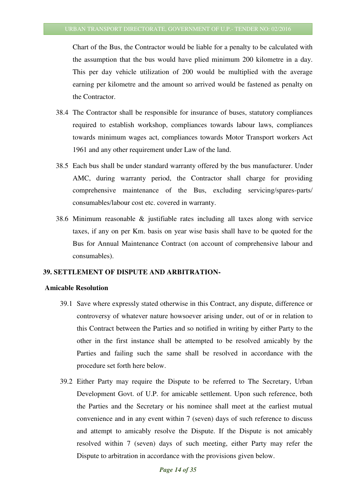Chart of the Bus, the Contractor would be liable for a penalty to be calculated with the assumption that the bus would have plied minimum 200 kilometre in a day. This per day vehicle utilization of 200 would be multiplied with the average earning per kilometre and the amount so arrived would be fastened as penalty on the Contractor.

- 38.4 The Contractor shall be responsible for insurance of buses, statutory compliances required to establish workshop, compliances towards labour laws, compliances towards minimum wages act, compliances towards Motor Transport workers Act 1961 and any other requirement under Law of the land.
- 38.5 Each bus shall be under standard warranty offered by the bus manufacturer. Under AMC, during warranty period, the Contractor shall charge for providing comprehensive maintenance of the Bus, excluding servicing/spares-parts/ consumables/labour cost etc. covered in warranty.
- 38.6 Minimum reasonable & justifiable rates including all taxes along with service taxes, if any on per Km. basis on year wise basis shall have to be quoted for the Bus for Annual Maintenance Contract (on account of comprehensive labour and consumables).

#### **39. SETTLEMENT OF DISPUTE AND ARBITRATION-**

#### **Amicable Resolution**

- 39.1 Save where expressly stated otherwise in this Contract, any dispute, difference or controversy of whatever nature howsoever arising under, out of or in relation to this Contract between the Parties and so notified in writing by either Party to the other in the first instance shall be attempted to be resolved amicably by the Parties and failing such the same shall be resolved in accordance with the procedure set forth here below.
- 39.2 Either Party may require the Dispute to be referred to The Secretary, Urban Development Govt. of U.P. for amicable settlement. Upon such reference, both the Parties and the Secretary or his nominee shall meet at the earliest mutual convenience and in any event within 7 (seven) days of such reference to discuss and attempt to amicably resolve the Dispute. If the Dispute is not amicably resolved within 7 (seven) days of such meeting, either Party may refer the Dispute to arbitration in accordance with the provisions given below.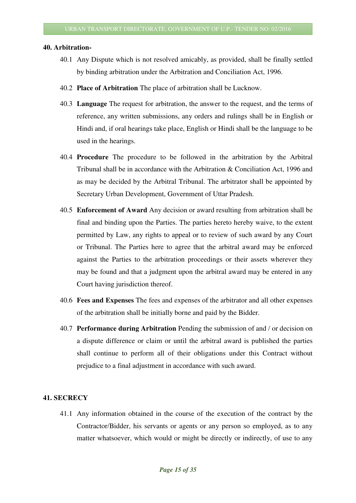#### **40. Arbitration-**

- 40.1 Any Dispute which is not resolved amicably, as provided, shall be finally settled by binding arbitration under the Arbitration and Conciliation Act, 1996.
- 40.2 **Place of Arbitration** The place of arbitration shall be Lucknow.
- 40.3 **Language** The request for arbitration, the answer to the request, and the terms of reference, any written submissions, any orders and rulings shall be in English or Hindi and, if oral hearings take place, English or Hindi shall be the language to be used in the hearings.
- 40.4 **Procedure** The procedure to be followed in the arbitration by the Arbitral Tribunal shall be in accordance with the Arbitration & Conciliation Act, 1996 and as may be decided by the Arbitral Tribunal. The arbitrator shall be appointed by Secretary Urban Development, Government of Uttar Pradesh.
- 40.5 **Enforcement of Award** Any decision or award resulting from arbitration shall be final and binding upon the Parties. The parties hereto hereby waive, to the extent permitted by Law, any rights to appeal or to review of such award by any Court or Tribunal. The Parties here to agree that the arbitral award may be enforced against the Parties to the arbitration proceedings or their assets wherever they may be found and that a judgment upon the arbitral award may be entered in any Court having jurisdiction thereof.
- 40.6 **Fees and Expenses** The fees and expenses of the arbitrator and all other expenses of the arbitration shall be initially borne and paid by the Bidder.
- 40.7 **Performance during Arbitration** Pending the submission of and / or decision on a dispute difference or claim or until the arbitral award is published the parties shall continue to perform all of their obligations under this Contract without prejudice to a final adjustment in accordance with such award.

#### **41. SECRECY**

41.1 Any information obtained in the course of the execution of the contract by the Contractor/Bidder, his servants or agents or any person so employed, as to any matter whatsoever, which would or might be directly or indirectly, of use to any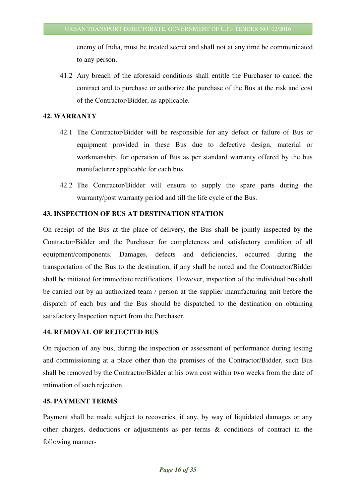enemy of India, must be treated secret and shall not at any time be communicated to any person.

41.2 Any breach of the aforesaid conditions shall entitle the Purchaser to cancel the contract and to purchase or authorize the purchase of the Bus at the risk and cost of the Contractor/Bidder, as applicable.

#### **42. WARRANTY**

- 42.1 The Contractor/Bidder will be responsible for any defect or failure of Bus or equipment provided in these Bus due to defective design, material or workmanship, for operation of Bus as per standard warranty offered by the bus manufacturer applicable for each bus.
- 42.2 The Contractor/Bidder will ensure to supply the spare parts during the warranty/post warranty period and till the life cycle of the Bus.

#### **43. INSPECTION OF BUS AT DESTINATION STATION**

On receipt of the Bus at the place of delivery, the Bus shall be jointly inspected by the Contractor/Bidder and the Purchaser for completeness and satisfactory condition of all equipment/components. Damages, defects and deficiencies, occurred during the transportation of the Bus to the destination, if any shall be noted and the Contractor/Bidder shall be initiated for immediate rectifications. However, inspection of the individual bus shall be carried out by an authorized team / person at the supplier manufacturing unit before the dispatch of each bus and the Bus should be dispatched to the destination on obtaining satisfactory Inspection report from the Purchaser.

#### **44. REMOVAL OF REJECTED BUS**

On rejection of any bus, during the inspection or assessment of performance during testing and commissioning at a place other than the premises of the Contractor/Bidder, such Bus shall be removed by the Contractor/Bidder at his own cost within two weeks from the date of intimation of such rejection.

#### **45. PAYMENT TERMS**

Payment shall be made subject to recoveries, if any, by way of liquidated damages or any other charges, deductions or adjustments as per terms & conditions of contract in the following manner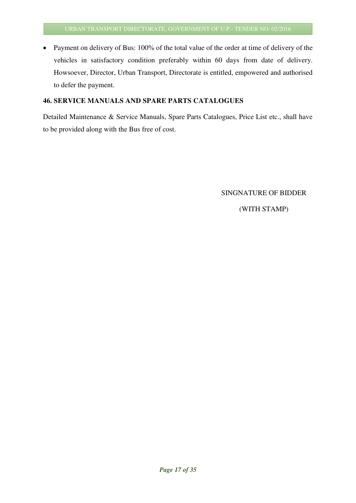• Payment on delivery of Bus: 100% of the total value of the order at time of delivery of the vehicles in satisfactory condition preferably within 60 days from date of delivery. Howsoever, Director, Urban Transport, Directorate is entitled, empowered and authorised to defer the payment.

#### **46. SERVICE MANUALS AND SPARE PARTS CATALOGUES**

Detailed Maintenance & Service Manuals, Spare Parts Catalogues, Price List etc., shall have to be provided along with the Bus free of cost.

SINGNATURE OF BIDDER

(WITH STAMP)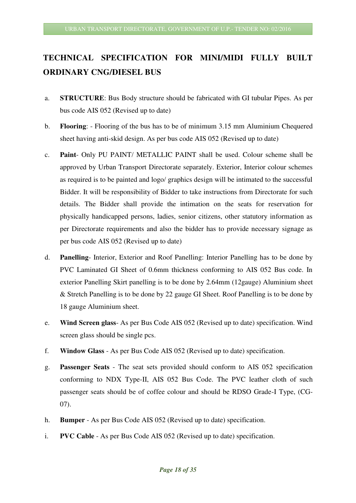## **TECHNICAL SPECIFICATION FOR MINI/MIDI FULLY BUILT ORDINARY CNG/DIESEL BUS**

- a. **STRUCTURE**: Bus Body structure should be fabricated with GI tubular Pipes. As per bus code AIS 052 (Revised up to date)
- b. **Flooring**: Flooring of the bus has to be of minimum 3.15 mm Aluminium Chequered sheet having anti-skid design. As per bus code AIS 052 (Revised up to date)
- c. **Paint** Only PU PAINT/ METALLIC PAINT shall be used. Colour scheme shall be approved by Urban Transport Directorate separately. Exterior, Interior colour schemes as required is to be painted and logo/ graphics design will be intimated to the successful Bidder. It will be responsibility of Bidder to take instructions from Directorate for such details. The Bidder shall provide the intimation on the seats for reservation for physically handicapped persons, ladies, senior citizens, other statutory information as per Directorate requirements and also the bidder has to provide necessary signage as per bus code AIS 052 (Revised up to date)
- d. **Panelling** Interior, Exterior and Roof Panelling: Interior Panelling has to be done by PVC Laminated GI Sheet of 0.6mm thickness conforming to AIS 052 Bus code. In exterior Panelling Skirt panelling is to be done by 2.64mm (12gauge) Aluminium sheet & Stretch Panelling is to be done by 22 gauge GI Sheet. Roof Panelling is to be done by 18 gauge Aluminium sheet.
- e. **Wind Screen glass** As per Bus Code AIS 052 (Revised up to date) specification. Wind screen glass should be single pcs.
- f. **Window Glass** As per Bus Code AIS 052 (Revised up to date) specification.
- g. **Passenger Seats** The seat sets provided should conform to AIS 052 specification conforming to NDX Type-II, AIS 052 Bus Code. The PVC leather cloth of such passenger seats should be of coffee colour and should be RDSO Grade-I Type, (CG-07).
- h. **Bumper**  As per Bus Code AIS 052 (Revised up to date) specification.
- i. **PVC Cable** As per Bus Code AIS 052 (Revised up to date) specification.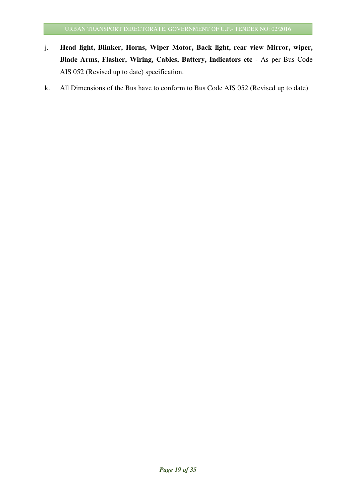- j. **Head light, Blinker, Horns, Wiper Motor, Back light, rear view Mirror, wiper, Blade Arms, Flasher, Wiring, Cables, Battery, Indicators etc** - As per Bus Code AIS 052 (Revised up to date) specification.
- k. All Dimensions of the Bus have to conform to Bus Code AIS 052 (Revised up to date)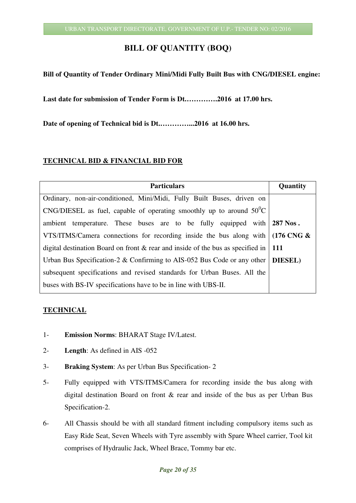#### **BILL OF QUANTITY (BOQ)**

#### **Bill of Quantity of Tender Ordinary Mini/Midi Fully Built Bus with CNG/DIESEL engine:**

**Last date for submission of Tender Form is Dt.………….2016 at 17.00 hrs.** 

**Date of opening of Technical bid is Dt.…………...2016 at 16.00 hrs.** 

#### **TECHNICAL BID & FINANCIAL BID FOR**

| <b>Particulars</b>                                                                          | Quantity |
|---------------------------------------------------------------------------------------------|----------|
| Ordinary, non-air-conditioned, Mini/Midi, Fully Built Buses, driven on                      |          |
| CNG/DIESEL as fuel, capable of operating smoothly up to around $50^{\circ}$ C               |          |
| ambient temperature. These buses are to be fully equipped with 287 Nos.                     |          |
| VTS/ITMS/Camera connections for recording inside the bus along with $(176 \text{ CNG} \& )$ |          |
| digital destination Board on front & rear and inside of the bus as specified in   111       |          |
| Urban Bus Specification-2 & Confirming to AIS-052 Bus Code or any other $\vert$ DIESEL)     |          |
| subsequent specifications and revised standards for Urban Buses. All the                    |          |
| buses with BS-IV specifications have to be in line with UBS-II.                             |          |

#### **TECHNICAL**

- 1- **Emission Norms**: BHARAT Stage IV/Latest.
- 2- **Length**: As defined in AIS -052
- 3- **Braking System**: As per Urban Bus Specification- 2
- 5- Fully equipped with VTS/ITMS/Camera for recording inside the bus along with digital destination Board on front & rear and inside of the bus as per Urban Bus Specification-2.
- 6- All Chassis should be with all standard fitment including compulsory items such as Easy Ride Seat, Seven Wheels with Tyre assembly with Spare Wheel carrier, Tool kit comprises of Hydraulic Jack, Wheel Brace, Tommy bar etc.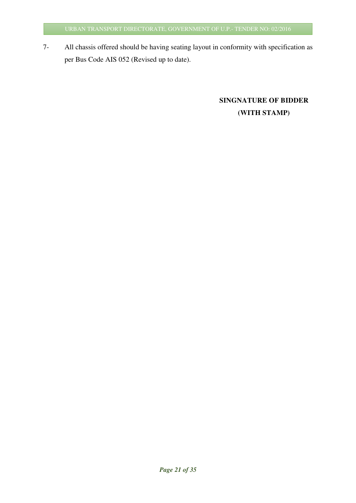7- All chassis offered should be having seating layout in conformity with specification as per Bus Code AIS 052 (Revised up to date).

## **SINGNATURE OF BIDDER (WITH STAMP)**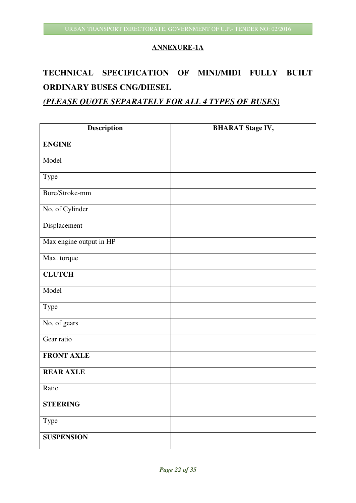#### **ANNEXURE-1A**

## **TECHNICAL SPECIFICATION OF MINI/MIDI FULLY BUILT ORDINARY BUSES CNG/DIESEL**

#### *(PLEASE QUOTE SEPARATELY FOR ALL 4 TYPES OF BUSES)*

| Description             | <b>BHARAT Stage IV,</b> |
|-------------------------|-------------------------|
| <b>ENGINE</b>           |                         |
| Model                   |                         |
| Type                    |                         |
| Bore/Stroke-mm          |                         |
| No. of Cylinder         |                         |
| Displacement            |                         |
| Max engine output in HP |                         |
| Max. torque             |                         |
| <b>CLUTCH</b>           |                         |
| Model                   |                         |
| Type                    |                         |
| No. of gears            |                         |
| Gear ratio              |                         |
| <b>FRONT AXLE</b>       |                         |
| <b>REAR AXLE</b>        |                         |
| Ratio                   |                         |
| <b>STEERING</b>         |                         |
| Type                    |                         |
| <b>SUSPENSION</b>       |                         |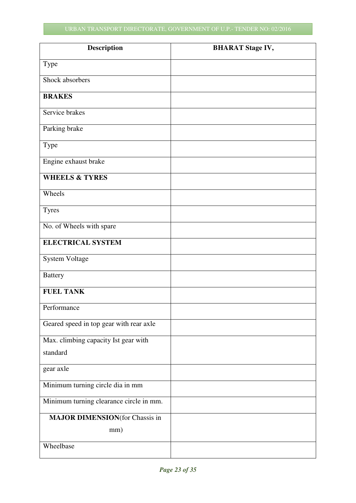| <b>Description</b>                      | <b>BHARAT Stage IV,</b> |
|-----------------------------------------|-------------------------|
| Type                                    |                         |
| Shock absorbers                         |                         |
| <b>BRAKES</b>                           |                         |
| Service brakes                          |                         |
| Parking brake                           |                         |
| Type                                    |                         |
| Engine exhaust brake                    |                         |
| <b>WHEELS &amp; TYRES</b>               |                         |
| Wheels                                  |                         |
| <b>Tyres</b>                            |                         |
| No. of Wheels with spare                |                         |
| <b>ELECTRICAL SYSTEM</b>                |                         |
| System Voltage                          |                         |
| <b>Battery</b>                          |                         |
| <b>FUEL TANK</b>                        |                         |
| Performance                             |                         |
| Geared speed in top gear with rear axle |                         |
| Max. climbing capacity Ist gear with    |                         |
| standard                                |                         |
| gear axle                               |                         |
| Minimum turning circle dia in mm        |                         |
| Minimum turning clearance circle in mm. |                         |
| <b>MAJOR DIMENSION</b> (for Chassis in  |                         |
| mm)                                     |                         |
| Wheelbase                               |                         |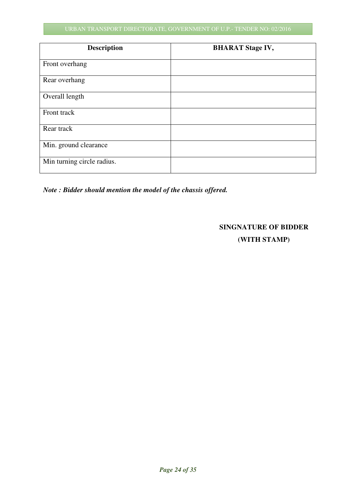#### URBAN TRANSPORT DIRECTORATE, GOVERNMENT OF U.P.- TENDER NO: 02/2016

| <b>Description</b>         | <b>BHARAT Stage IV,</b> |
|----------------------------|-------------------------|
| Front overhang             |                         |
| Rear overhang              |                         |
| Overall length             |                         |
| Front track                |                         |
| Rear track                 |                         |
| Min. ground clearance      |                         |
| Min turning circle radius. |                         |

*Note : Bidder should mention the model of the chassis offered.* 

#### **SINGNATURE OF BIDDER**

**(WITH STAMP)**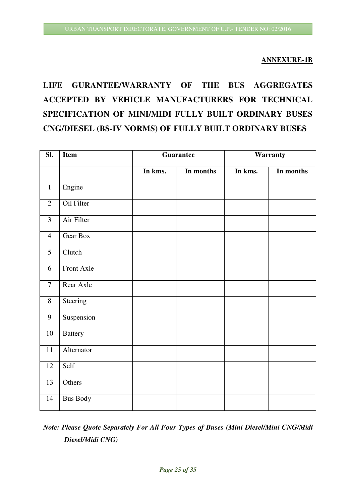#### **ANNEXURE-1B**

## **LIFE GURANTEE/WARRANTY OF THE BUS AGGREGATES ACCEPTED BY VEHICLE MANUFACTURERS FOR TECHNICAL SPECIFICATION OF MINI/MIDI FULLY BUILT ORDINARY BUSES CNG/DIESEL (BS-IV NORMS) OF FULLY BUILT ORDINARY BUSES**

| SI.            | <b>Item</b>     | Guarantee |           | Warranty |           |
|----------------|-----------------|-----------|-----------|----------|-----------|
|                |                 | In kms.   | In months | In kms.  | In months |
| $\mathbf{1}$   | Engine          |           |           |          |           |
| $\overline{2}$ | Oil Filter      |           |           |          |           |
| 3              | Air Filter      |           |           |          |           |
| $\overline{4}$ | Gear Box        |           |           |          |           |
| 5              | Clutch          |           |           |          |           |
| 6              | Front Axle      |           |           |          |           |
| $\overline{7}$ | Rear Axle       |           |           |          |           |
| 8              | Steering        |           |           |          |           |
| 9              | Suspension      |           |           |          |           |
| $10\,$         | <b>Battery</b>  |           |           |          |           |
| 11             | Alternator      |           |           |          |           |
| 12             | Self            |           |           |          |           |
| 13             | Others          |           |           |          |           |
| 14             | <b>Bus Body</b> |           |           |          |           |

## *Note: Please Quote Separately For All Four Types of Buses (Mini Diesel/Mini CNG/Midi Diesel/Midi CNG)*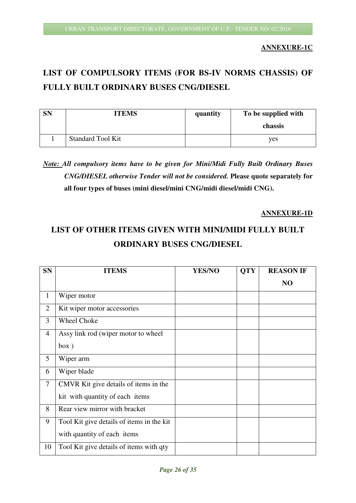**ANNEXURE-1C** 

## **LIST OF COMPULSORY ITEMS (FOR BS-IV NORMS CHASSIS) OF FULLY BUILT ORDINARY BUSES CNG/DIESEL**

| <b>SN</b> | <b>ITEMS</b>             | quantity | To be supplied with |
|-----------|--------------------------|----------|---------------------|
|           |                          |          | chassis             |
|           | <b>Standard Tool Kit</b> |          | yes                 |

## *Note: All compulsory items have to be given for Mini/Midi Fully Built Ordinary Buses CNG/DIESEL otherwise Tender will not be considered.* **Please quote separately for all four types of buses (mini diesel/mini CNG/midi diesel/midi CNG).**

#### **ANNEXURE-1D**

## **LIST OF OTHER ITEMS GIVEN WITH MINI/MIDI FULLY BUILT ORDINARY BUSES CNG/DIESEL**

| <b>SN</b>      | <b>ITEMS</b>                              | <b>YES/NO</b> | <b>QTY</b> | <b>REASON IF</b> |
|----------------|-------------------------------------------|---------------|------------|------------------|
|                |                                           |               |            | N <sub>O</sub>   |
| 1              | Wiper motor                               |               |            |                  |
| $\overline{2}$ | Kit wiper motor accessories               |               |            |                  |
| 3              | <b>Wheel Choke</b>                        |               |            |                  |
| $\overline{4}$ | Assy link rod (wiper motor to wheel)      |               |            |                  |
|                | box)                                      |               |            |                  |
| 5              | Wiper arm                                 |               |            |                  |
| 6              | Wiper blade                               |               |            |                  |
| $\overline{7}$ | CMVR Kit give details of items in the     |               |            |                  |
|                | kit with quantity of each items           |               |            |                  |
| 8              | Rear view mirror with bracket             |               |            |                  |
| 9              | Tool Kit give details of items in the kit |               |            |                  |
|                | with quantity of each items               |               |            |                  |
| 10             | Tool Kit give details of items with qty   |               |            |                  |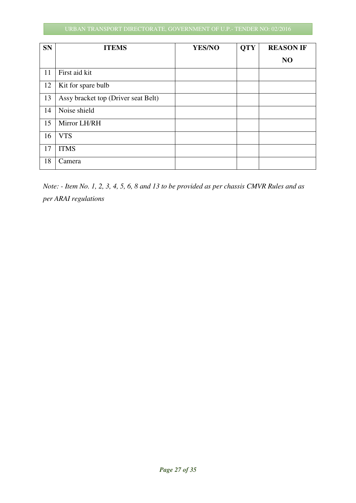#### URBAN TRANSPORT DIRECTORATE, GOVERNMENT OF U.P.- TENDER NO: 02/2016

| <b>SN</b> | <b>ITEMS</b>                        | YES/NO | <b>QTY</b> | <b>REASON IF</b> |
|-----------|-------------------------------------|--------|------------|------------------|
|           |                                     |        |            | N <sub>O</sub>   |
| 11        | First aid kit                       |        |            |                  |
| 12        | Kit for spare bulb                  |        |            |                  |
| 13        | Assy bracket top (Driver seat Belt) |        |            |                  |
| 14        | Noise shield                        |        |            |                  |
| 15        | Mirror LH/RH                        |        |            |                  |
| 16        | <b>VTS</b>                          |        |            |                  |
| 17        | <b>ITMS</b>                         |        |            |                  |
| 18        | Camera                              |        |            |                  |

*Note: - Item No. 1, 2, 3, 4, 5, 6, 8 and 13 to be provided as per chassis CMVR Rules and as per ARAI regulations*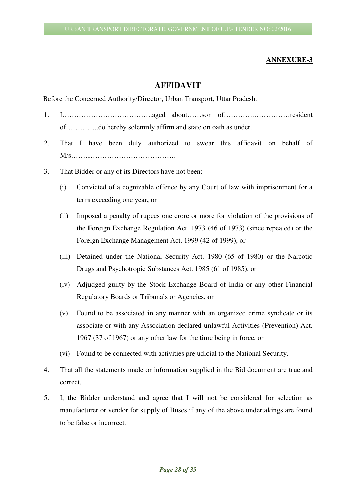#### **ANNEXURE-3**

#### **AFFIDAVIT**

Before the Concerned Authority/Director, Urban Transport, Uttar Pradesh.

- 1. I………………………………..aged about……son of………….……………resident of…………..do hereby solemnly affirm and state on oath as under.
- 2. That I have been duly authorized to swear this affidavit on behalf of M/s……………………………………..
- 3. That Bidder or any of its Directors have not been:-
	- (i) Convicted of a cognizable offence by any Court of law with imprisonment for a term exceeding one year, or
	- (ii) Imposed a penalty of rupees one crore or more for violation of the provisions of the Foreign Exchange Regulation Act. 1973 (46 of 1973) (since repealed) or the Foreign Exchange Management Act. 1999 (42 of 1999), or
	- (iii) Detained under the National Security Act. 1980 (65 of 1980) or the Narcotic Drugs and Psychotropic Substances Act. 1985 (61 of 1985), or
	- (iv) Adjudged guilty by the Stock Exchange Board of India or any other Financial Regulatory Boards or Tribunals or Agencies, or
	- (v) Found to be associated in any manner with an organized crime syndicate or its associate or with any Association declared unlawful Activities (Prevention) Act. 1967 (37 of 1967) or any other law for the time being in force, or
	- (vi) Found to be connected with activities prejudicial to the National Security.
- 4. That all the statements made or information supplied in the Bid document are true and correct.
- 5. I, the Bidder understand and agree that I will not be considered for selection as manufacturer or vendor for supply of Buses if any of the above undertakings are found to be false or incorrect.

\_\_\_\_\_\_\_\_\_\_\_\_\_\_\_\_\_\_\_\_\_\_\_\_\_\_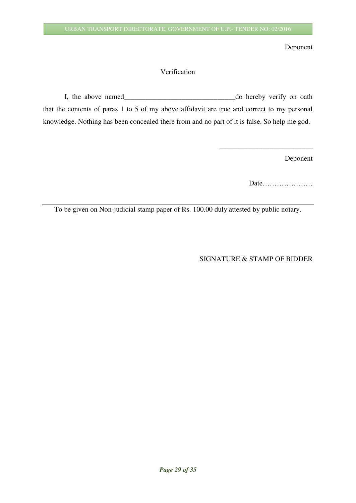Deponent

#### Verification

I, the above named\_\_\_\_\_\_\_\_\_\_\_\_\_\_\_\_\_\_\_\_\_\_\_\_\_\_\_\_\_\_\_do hereby verify on oath that the contents of paras 1 to 5 of my above affidavit are true and correct to my personal knowledge. Nothing has been concealed there from and no part of it is false. So help me god.

Deponent

Date…………………

\_\_\_\_\_\_\_\_\_\_\_\_\_\_\_\_\_\_\_\_\_\_\_\_\_\_

To be given on Non-judicial stamp paper of Rs. 100.00 duly attested by public notary.

SIGNATURE & STAMP OF BIDDER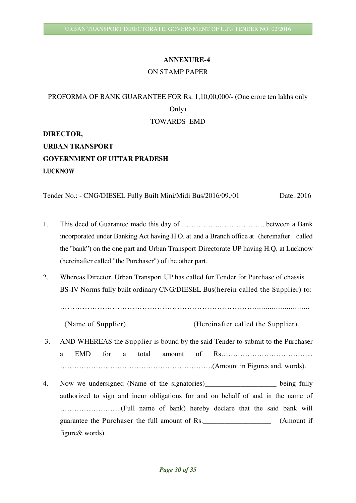#### **ANNEXURE-4**

#### ON STAMP PAPER

## PROFORMA OF BANK GUARANTEE FOR Rs. 1,10,00,000/- (One crore ten lakhs only Only) TOWARDS EMD

**DIRECTOR,** 

**URBAN TRANSPORT GOVERNMENT OF UTTAR PRADESH LUCKNOW** 

Tender No.: - CNG/DIESEL Fully Built Mini/Midi Bus/2016/09./01Date:.2016

- 1. This deed of Guarantee made this day of …………….………………..between a Bank incorporated under Banking Act having H.O. at and a Branch office at (hereinafter called the ''bank") on the one part and Urban Transport Directorate UP having H.Q. at Lucknow (hereinafter called "the Purchaser") of the other part.
- 2. Whereas Director, Urban Transport UP has called for Tender for Purchase of chassis BS-IV Norms fully built ordinary CNG/DIESEL Bus(herein called the Supplier) to:

……………………………………………………………………..........................

(Name of Supplier) (Hereinafter called the Supplier).

- 3. AND WHEREAS the Supplier is bound by the said Tender to submit to the Purchaser a EMD for a total amount of Rs………………………………... ……………………………………………………….(Amount in Figures and, words).
- 4. Now we undersigned (Name of the signatories) being fully authorized to sign and incur obligations for and on behalf of and in the name of ……………………..(Full name of bank) hereby declare that the said bank will guarantee the Purchaser the full amount of Rs. \_\_\_\_\_\_\_\_\_\_\_\_\_\_\_\_\_\_\_\_\_\_\_\_\_\_\_\_\_\_\_\_\_ (Amount if figure& words).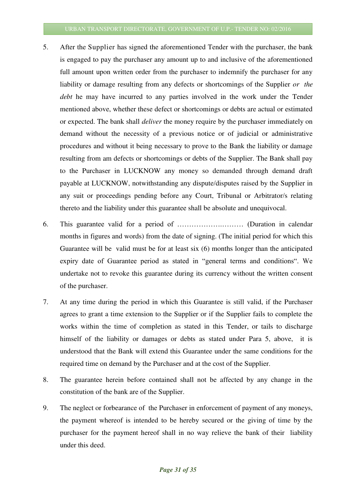- 5. After the Supplier has signed the aforementioned Tender with the purchaser, the bank is engaged to pay the purchaser any amount up to and inclusive of the aforementioned full amount upon written order from the purchaser to indemnify the purchaser for any liability or damage resulting from any defects or shortcomings of the Supplier *or the debt* he may have incurred to any parties involved in the work under the Tender mentioned above, whether these defect or shortcomings or debts are actual or estimated or expected. The bank shall *deliver* the money require by the purchaser immediately on demand without the necessity of a previous notice or of judicial or administrative procedures and without it being necessary to prove to the Bank the liability or damage resulting from am defects or shortcomings or debts of the Supplier. The Bank shall pay to the Purchaser in LUCKNOW any money so demanded through demand draft payable at LUCKNOW, notwithstanding any dispute/disputes raised by the Supplier in any suit or proceedings pending before any Court, Tribunal or Arbitrator/s relating thereto and the liability under this guarantee shall be absolute and unequivocal.
- 6. This guarantee valid for a period of ……………….……… (Duration in calendar months in figures and words) from the date of signing. (The initial period for which this Guarantee will be valid must be for at least six (6) months longer than the anticipated expiry date of Guarantee period as stated in "general terms and conditions". We undertake not to revoke this guarantee during its currency without the written consent of the purchaser.
- 7. At any time during the period in which this Guarantee is still valid, if the Purchaser agrees to grant a time extension to the Supplier or if the Supplier fails to complete the works within the time of completion as stated in this Tender, or tails to discharge himself of the liability or damages or debts as stated under Para 5, above, it is understood that the Bank will extend this Guarantee under the same conditions for the required time on demand by the Purchaser and at the cost of the Supplier.
- 8. The guarantee herein before contained shall not be affected by any change in the constitution of the bank are of the Supplier.
- 9. The neglect or forbearance of the Purchaser in enforcement of payment of any moneys, the payment whereof is intended to be hereby secured or the giving of time by the purchaser for the payment hereof shall in no way relieve the bank of their liability under this deed.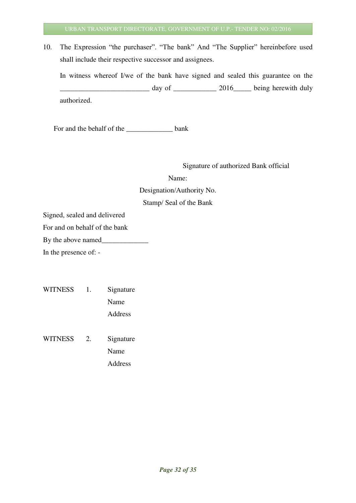10. The Expression "the purchaser". "The bank" And "The Supplier" hereinbefore used shall include their respective successor and assignees.

 In witness whereof I/we of the bank have signed and sealed this guarantee on the day of \_\_\_\_\_\_\_\_\_\_\_\_\_ 2016\_\_\_\_\_\_\_ being herewith duly authorized.

For and the behalf of the <u>same</u> bank

Signature of authorized Bank official

Name: Designation/Authority No. Stamp/ Seal of the Bank

Signed, sealed and delivered

For and on behalf of the bank

By the above named\_\_\_\_\_\_\_\_\_\_\_\_\_

In the presence of: -

| <b>WITNESS</b> | 1. | Signature |
|----------------|----|-----------|
|                |    | Name      |
|                |    | Address   |
|                |    |           |

WITNESS 2. Signature Name Address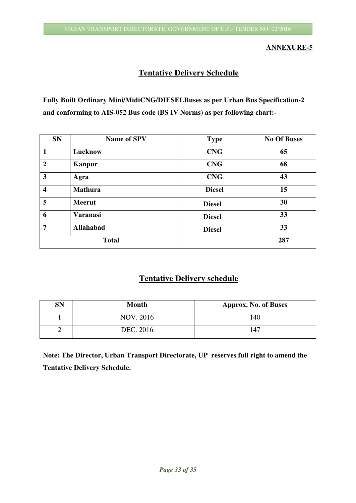#### **ANNEXURE-5**

#### **Tentative Delivery Schedule**

**Fully Built Ordinary Mini/MidiCNG/DIESELBuses as per Urban Bus Specification-2 and conforming to AIS-052 Bus code (BS IV Norms) as per following chart:-** 

| <b>SN</b>               | <b>Name of SPV</b> | <b>Type</b>   | <b>No Of Buses</b> |
|-------------------------|--------------------|---------------|--------------------|
| $\mathbf{1}$            | Lucknow            | <b>CNG</b>    | 65                 |
| $\overline{2}$          | Kanpur             | <b>CNG</b>    | 68                 |
| 3                       | Agra               | <b>CNG</b>    | 43                 |
| $\overline{\mathbf{4}}$ | <b>Mathura</b>     | <b>Diesel</b> | 15                 |
| 5                       | <b>Meerut</b>      | <b>Diesel</b> | 30                 |
| 6                       | <b>Varanasi</b>    | <b>Diesel</b> | 33                 |
| 7                       | <b>Allahabad</b>   | <b>Diesel</b> | 33                 |
| <b>Total</b>            |                    |               | 287                |

#### **Tentative Delivery schedule**

| <b>SN</b> | <b>Month</b> | <b>Approx. No. of Buses</b> |
|-----------|--------------|-----------------------------|
|           | NOV. 2016    | 140                         |
| ∽         | DEC. 2016    | 147                         |

**Note: The Director, Urban Transport Directorate, UP reserves full right to amend the Tentative Delivery Schedule.**